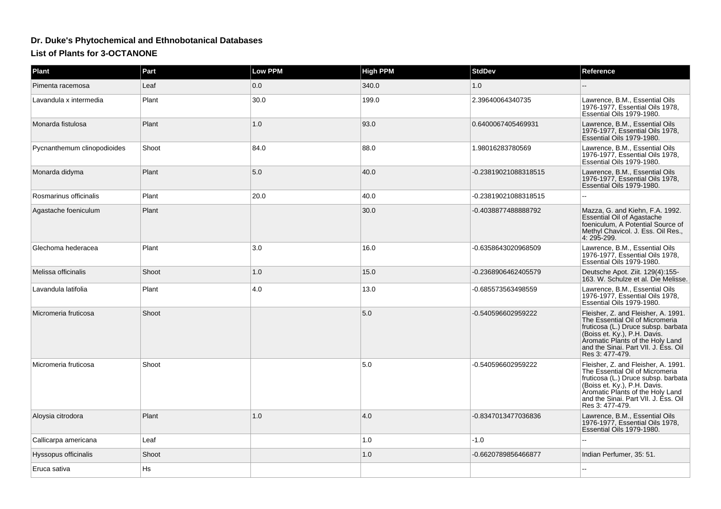## **Dr. Duke's Phytochemical and Ethnobotanical Databases**

## **List of Plants for 3-OCTANONE**

| <b>Plant</b>                | Part  | <b>Low PPM</b> | <b>High PPM</b> | <b>StdDev</b>        | Reference                                                                                                                                                                                                                                    |
|-----------------------------|-------|----------------|-----------------|----------------------|----------------------------------------------------------------------------------------------------------------------------------------------------------------------------------------------------------------------------------------------|
| Pimenta racemosa            | Leaf  | 0.0            | 340.0           | 1.0                  |                                                                                                                                                                                                                                              |
| Lavandula x intermedia      | Plant | 30.0           | 199.0           | 2.39640064340735     | Lawrence, B.M., Essential Oils<br>1976-1977, Essential Oils 1978,<br>Essential Oils 1979-1980.                                                                                                                                               |
| Monarda fistulosa           | Plant | 1.0            | 93.0            | 0.6400067405469931   | Lawrence, B.M., Essential Oils<br>1976-1977, Essential Oils 1978,<br>Essential Oils 1979-1980.                                                                                                                                               |
| Pycnanthemum clinopodioides | Shoot | 84.0           | 88.0            | 1.98016283780569     | Lawrence, B.M., Essential Oils<br>1976-1977, Essential Oils 1978,<br>Essential Oils 1979-1980.                                                                                                                                               |
| Monarda didyma              | Plant | 5.0            | 40.0            | -0.23819021088318515 | Lawrence, B.M., Essential Oils<br>1976-1977, Essential Oils 1978,<br>Essential Oils 1979-1980.                                                                                                                                               |
| Rosmarinus officinalis      | Plant | 20.0           | 40.0            | -0.23819021088318515 |                                                                                                                                                                                                                                              |
| Agastache foeniculum        | Plant |                | 30.0            | -0.4038877488888792  | Mazza, G. and Kiehn, F.A. 1992.<br><b>Essential Oil of Agastache</b><br>foeniculum, A Potential Source of<br>Methyl Chavicol. J. Ess. Oil Res.,<br>4: 295-299.                                                                               |
| Glechoma hederacea          | Plant | 3.0            | 16.0            | -0.6358643020968509  | Lawrence, B.M., Essential Oils<br>1976-1977, Essential Oils 1978,<br>Essential Oils 1979-1980.                                                                                                                                               |
| Melissa officinalis         | Shoot | 1.0            | 15.0            | -0.2368906462405579  | Deutsche Apot. Ziit. 129(4):155-<br>163. W. Schulze et al. Die Melisse.                                                                                                                                                                      |
| Lavandula latifolia         | Plant | 4.0            | 13.0            | -0.685573563498559   | Lawrence, B.M., Essential Oils<br>1976-1977. Essential Oils 1978.<br>Essential Oils 1979-1980.                                                                                                                                               |
| Micromeria fruticosa        | Shoot |                | 5.0             | -0.540596602959222   | Fleisher, Z. and Fleisher, A. 1991.<br>The Essential Oil of Micromeria<br>fruticosa (L.) Druce subsp. barbata<br>(Boiss et. Ky.), P.H. Davis.<br>Aromatic Plants of the Holy Land<br>and the Sinai. Part VII. J. Ess. Oil<br>Res 3: 477-479. |
| Micromeria fruticosa        | Shoot |                | 5.0             | -0.540596602959222   | Fleisher, Z. and Fleisher, A. 1991.<br>The Essential Oil of Micromeria<br>fruticosa (L.) Druce subsp. barbata<br>(Boiss et. Ky.), P.H. Davis.<br>Aromatic Plants of the Holy Land<br>and the Sinai. Part VII. J. Ess. Oil<br>Res 3: 477-479. |
| Aloysia citrodora           | Plant | 1.0            | 4.0             | -0.8347013477036836  | Lawrence, B.M., Essential Oils<br>1976-1977. Essential Oils 1978.<br>Essential Oils 1979-1980.                                                                                                                                               |
| Callicarpa americana        | Leaf  |                | 1.0             | $-1.0$               |                                                                                                                                                                                                                                              |
| Hyssopus officinalis        | Shoot |                | 1.0             | -0.6620789856466877  | Indian Perfumer, 35: 51.                                                                                                                                                                                                                     |
| Eruca sativa                | Hs    |                |                 |                      |                                                                                                                                                                                                                                              |